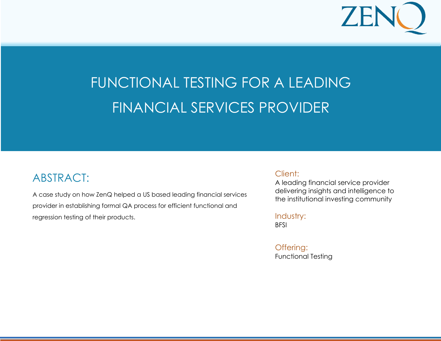

#### **e f i c a p d i c a t i c a t i c a t i d i d i d i c a t i c a t i c a t i c a t i c a t i c a t i c a t i c** FUNCTIONAL TESTING FOR A LEADING CASE STUDY: PERFORMANCE TESTING FINANCIAL SERVICES PROVIDER

### ABSTRACT:

A case study on how ZenQ helped a US based leading financial services provider in establishing formal QA process for efficient functional and regression testing of their products.

**L e a r n i n g S o l u t i o n s P r o v i d e r i n U S** 

#### Client:

A leading financial service provider delivering insights and intelligence to the institutional investing community

#### Industry:

**BFSI** 

Offering: Functional Testing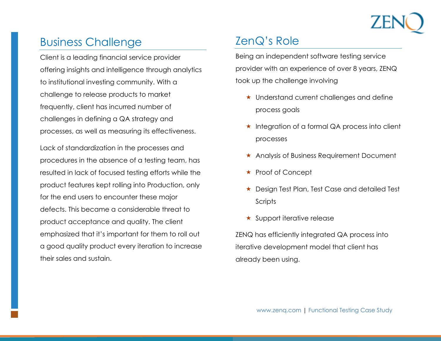

## Business Challenge

Client is a leading financial service provider offering insights and intelligence through analytics to institutional investing community. With a challenge to release products to market frequently, client has incurred number of challenges in defining a QA strategy and processes, as well as measuring its effectiveness.

Lack of standardization in the processes and procedures in the absence of a testing team, has resulted in lack of focused testing efforts while the product features kept rolling into Production, only for the end users to encounter these major defects. This became a considerable threat to product acceptance and quality. The client emphasized that it's important for them to roll out a good quality product every iteration to increase their sales and sustain.

# ZenQ's Role

Being an independent software testing service provider with an experience of over 8 years, ZENQ took up the challenge involving

- Understand current challenges and define process goals
- $\star$  Integration of a formal QA process into client processes
- Analysis of Business Requirement Document
- ★ Proof of Concept
- ★ Design Test Plan, Test Case and detailed Test **Scripts**
- $\star$  Support iterative release

ZENQ has efficiently integrated QA process into iterative development model that client has already been using.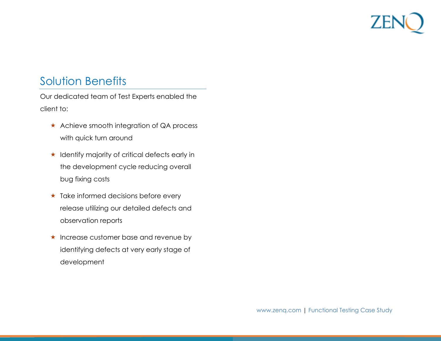## Solution Benefits

Our dedicated team of Test Experts enabled the client to:

- \* Achieve smooth integration of QA process with quick turn around
- $\star$  Identify majority of critical defects early in the development cycle reducing overall bug fixing costs
- $\star$  Take informed decisions before every release utilizing our detailed defects and observation reports
- $\star$  Increase customer base and revenue by identifying defects at very early stage of development